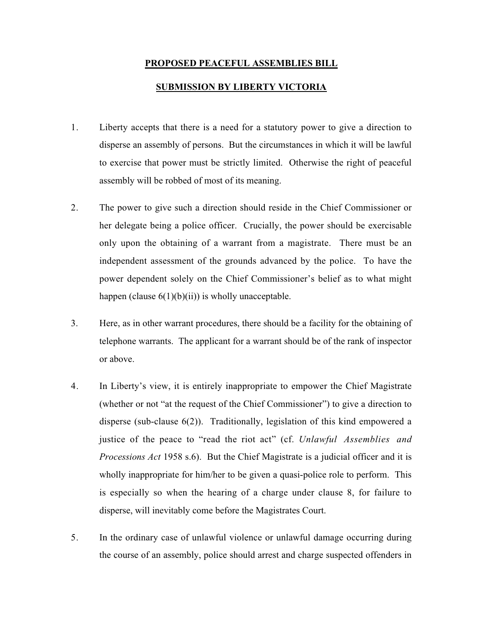## **PROPOSED PEACEFUL ASSEMBLIES BILL**

## **SUBMISSION BY LIBERTY VICTORIA**

- 1. Liberty accepts that there is a need for a statutory power to give a direction to disperse an assembly of persons. But the circumstances in which it will be lawful to exercise that power must be strictly limited. Otherwise the right of peaceful assembly will be robbed of most of its meaning.
- 2. The power to give such a direction should reside in the Chief Commissioner or her delegate being a police officer. Crucially, the power should be exercisable only upon the obtaining of a warrant from a magistrate. There must be an independent assessment of the grounds advanced by the police. To have the power dependent solely on the Chief Commissioner's belief as to what might happen (clause  $6(1)(b)(ii)$ ) is wholly unacceptable.
- 3. Here, as in other warrant procedures, there should be a facility for the obtaining of telephone warrants. The applicant for a warrant should be of the rank of inspector or above.
- 4. In Liberty's view, it is entirely inappropriate to empower the Chief Magistrate (whether or not "at the request of the Chief Commissioner") to give a direction to disperse (sub-clause 6(2)). Traditionally, legislation of this kind empowered a justice of the peace to "read the riot act" (cf. *Unlawful Assemblies and Processions Act* 1958 s.6). But the Chief Magistrate is a judicial officer and it is wholly inappropriate for him/her to be given a quasi-police role to perform. This is especially so when the hearing of a charge under clause 8, for failure to disperse, will inevitably come before the Magistrates Court.
- 5. In the ordinary case of unlawful violence or unlawful damage occurring during the course of an assembly, police should arrest and charge suspected offenders in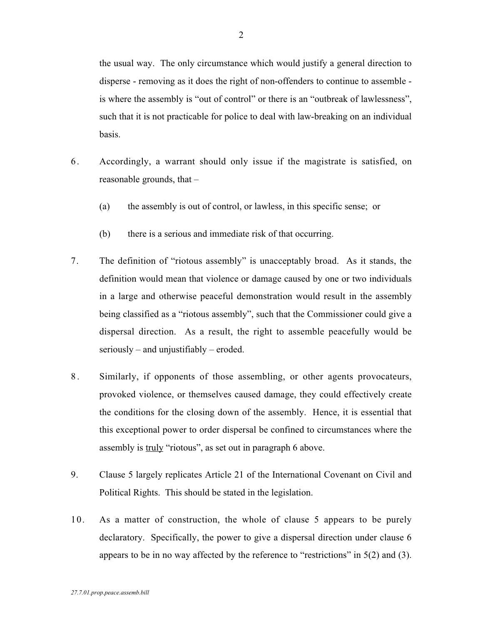the usual way. The only circumstance which would justify a general direction to disperse - removing as it does the right of non-offenders to continue to assemble is where the assembly is "out of control" or there is an "outbreak of lawlessness", such that it is not practicable for police to deal with law-breaking on an individual basis.

- 6 . Accordingly, a warrant should only issue if the magistrate is satisfied, on reasonable grounds, that –
	- (a) the assembly is out of control, or lawless, in this specific sense; or
	- (b) there is a serious and immediate risk of that occurring.
- 7. The definition of "riotous assembly" is unacceptably broad. As it stands, the definition would mean that violence or damage caused by one or two individuals in a large and otherwise peaceful demonstration would result in the assembly being classified as a "riotous assembly", such that the Commissioner could give a dispersal direction. As a result, the right to assemble peacefully would be seriously – and unjustifiably – eroded.
- 8 . Similarly, if opponents of those assembling, or other agents provocateurs, provoked violence, or themselves caused damage, they could effectively create the conditions for the closing down of the assembly. Hence, it is essential that this exceptional power to order dispersal be confined to circumstances where the assembly is truly "riotous", as set out in paragraph 6 above.
- 9. Clause 5 largely replicates Article 21 of the International Covenant on Civil and Political Rights. This should be stated in the legislation.
- 10. As a matter of construction, the whole of clause 5 appears to be purely declaratory. Specifically, the power to give a dispersal direction under clause 6 appears to be in no way affected by the reference to "restrictions" in 5(2) and (3).